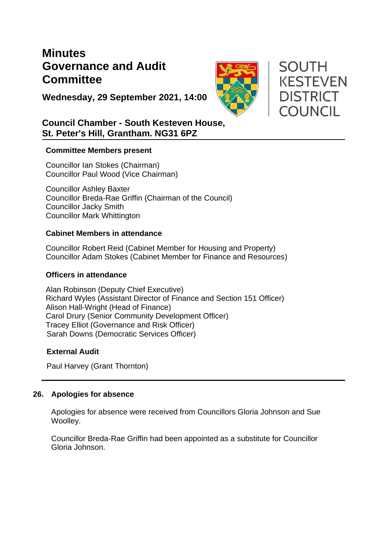# **Minutes Governance and Audit Committee**



**SOUTH** 

**KESTEVEN** 

**DISTRICT** 

**COUNCIL** 

**Wednesday, 29 September 2021, 14:00**

## **Council Chamber - South Kesteven House, St. Peter's Hill, Grantham. NG31 6PZ**

## **Committee Members present**

Councillor Ian Stokes (Chairman) Councillor Paul Wood (Vice Chairman)

Councillor Ashley Baxter Councillor Breda-Rae Griffin (Chairman of the Council) Councillor Jacky Smith Councillor Mark Whittington

## **Cabinet Members in attendance**

Councillor Robert Reid (Cabinet Member for Housing and Property) Councillor Adam Stokes (Cabinet Member for Finance and Resources)

## **Officers in attendance**

Alan Robinson (Deputy Chief Executive) Richard Wyles (Assistant Director of Finance and Section 151 Officer) Alison Hall-Wright (Head of Finance) Carol Drury (Senior Community Development Officer) Tracey Elliot (Governance and Risk Officer) Sarah Downs (Democratic Services Officer)

## **External Audit**

Paul Harvey (Grant Thornton)

## **26. Apologies for absence**

Apologies for absence were received from Councillors Gloria Johnson and Sue Woolley.

Councillor Breda-Rae Griffin had been appointed as a substitute for Councillor Gloria Johnson.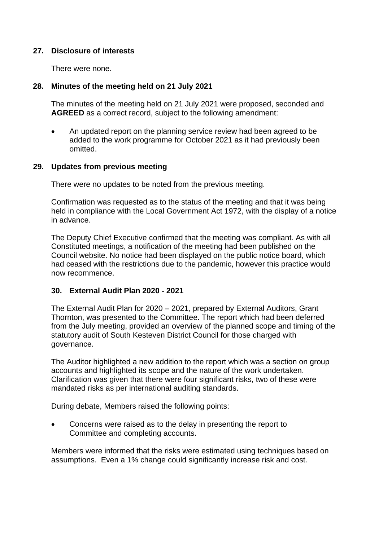## **27. Disclosure of interests**

There were none.

## **28. Minutes of the meeting held on 21 July 2021**

The minutes of the meeting held on 21 July 2021 were proposed, seconded and **AGREED** as a correct record, subject to the following amendment:

• An updated report on the planning service review had been agreed to be added to the work programme for October 2021 as it had previously been omitted.

#### **29. Updates from previous meeting**

There were no updates to be noted from the previous meeting.

Confirmation was requested as to the status of the meeting and that it was being held in compliance with the Local Government Act 1972, with the display of a notice in advance.

The Deputy Chief Executive confirmed that the meeting was compliant. As with all Constituted meetings, a notification of the meeting had been published on the Council website. No notice had been displayed on the public notice board, which had ceased with the restrictions due to the pandemic, however this practice would now recommence.

## **30. External Audit Plan 2020 - 2021**

The External Audit Plan for 2020 – 2021, prepared by External Auditors, Grant Thornton, was presented to the Committee. The report which had been deferred from the July meeting, provided an overview of the planned scope and timing of the statutory audit of South Kesteven District Council for those charged with governance.

The Auditor highlighted a new addition to the report which was a section on group accounts and highlighted its scope and the nature of the work undertaken. Clarification was given that there were four significant risks, two of these were mandated risks as per international auditing standards.

During debate, Members raised the following points:

• Concerns were raised as to the delay in presenting the report to Committee and completing accounts.

Members were informed that the risks were estimated using techniques based on assumptions. Even a 1% change could significantly increase risk and cost.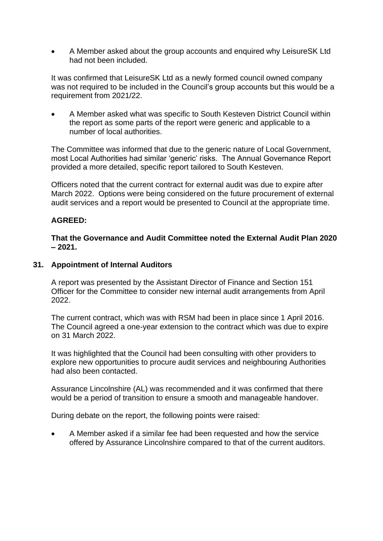• A Member asked about the group accounts and enquired why LeisureSK Ltd had not been included.

It was confirmed that LeisureSK Ltd as a newly formed council owned company was not required to be included in the Council's group accounts but this would be a requirement from 2021/22.

• A Member asked what was specific to South Kesteven District Council within the report as some parts of the report were generic and applicable to a number of local authorities.

The Committee was informed that due to the generic nature of Local Government, most Local Authorities had similar 'generic' risks. The Annual Governance Report provided a more detailed, specific report tailored to South Kesteven.

Officers noted that the current contract for external audit was due to expire after March 2022. Options were being considered on the future procurement of external audit services and a report would be presented to Council at the appropriate time.

## **AGREED:**

**That the Governance and Audit Committee noted the External Audit Plan 2020 – 2021.**

#### **31. Appointment of Internal Auditors**

A report was presented by the Assistant Director of Finance and Section 151 Officer for the Committee to consider new internal audit arrangements from April 2022.

The current contract, which was with RSM had been in place since 1 April 2016. The Council agreed a one-year extension to the contract which was due to expire on 31 March 2022.

It was highlighted that the Council had been consulting with other providers to explore new opportunities to procure audit services and neighbouring Authorities had also been contacted.

Assurance Lincolnshire (AL) was recommended and it was confirmed that there would be a period of transition to ensure a smooth and manageable handover.

During debate on the report, the following points were raised:

• A Member asked if a similar fee had been requested and how the service offered by Assurance Lincolnshire compared to that of the current auditors.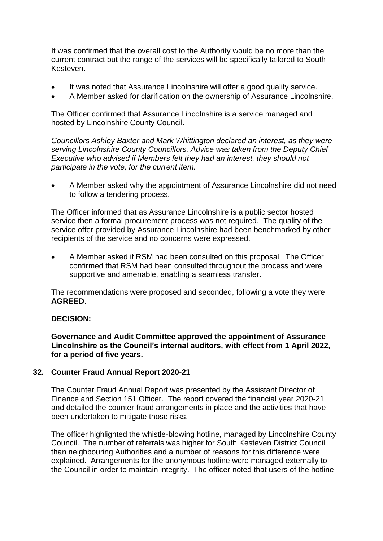It was confirmed that the overall cost to the Authority would be no more than the current contract but the range of the services will be specifically tailored to South Kesteven.

- It was noted that Assurance Lincolnshire will offer a good quality service.
- A Member asked for clarification on the ownership of Assurance Lincolnshire.

The Officer confirmed that Assurance Lincolnshire is a service managed and hosted by Lincolnshire County Council.

*Councillors Ashley Baxter and Mark Whittington declared an interest, as they were serving Lincolnshire County Councillors. Advice was taken from the Deputy Chief Executive who advised if Members felt they had an interest, they should not participate in the vote, for the current item.* 

• A Member asked why the appointment of Assurance Lincolnshire did not need to follow a tendering process.

The Officer informed that as Assurance Lincolnshire is a public sector hosted service then a formal procurement process was not required. The quality of the service offer provided by Assurance Lincolnshire had been benchmarked by other recipients of the service and no concerns were expressed.

• A Member asked if RSM had been consulted on this proposal. The Officer confirmed that RSM had been consulted throughout the process and were supportive and amenable, enabling a seamless transfer.

The recommendations were proposed and seconded, following a vote they were **AGREED**.

## **DECISION:**

**Governance and Audit Committee approved the appointment of Assurance Lincolnshire as the Council's internal auditors, with effect from 1 April 2022, for a period of five years.**

## **32. Counter Fraud Annual Report 2020-21**

The Counter Fraud Annual Report was presented by the Assistant Director of Finance and Section 151 Officer. The report covered the financial year 2020-21 and detailed the counter fraud arrangements in place and the activities that have been undertaken to mitigate those risks.

The officer highlighted the whistle-blowing hotline, managed by Lincolnshire County Council. The number of referrals was higher for South Kesteven District Council than neighbouring Authorities and a number of reasons for this difference were explained. Arrangements for the anonymous hotline were managed externally to the Council in order to maintain integrity. The officer noted that users of the hotline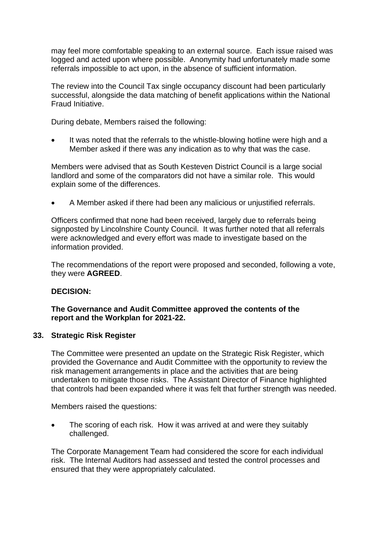may feel more comfortable speaking to an external source. Each issue raised was logged and acted upon where possible. Anonymity had unfortunately made some referrals impossible to act upon, in the absence of sufficient information.

The review into the Council Tax single occupancy discount had been particularly successful, alongside the data matching of benefit applications within the National Fraud Initiative.

During debate, Members raised the following:

It was noted that the referrals to the whistle-blowing hotline were high and a Member asked if there was any indication as to why that was the case.

Members were advised that as South Kesteven District Council is a large social landlord and some of the comparators did not have a similar role. This would explain some of the differences.

• A Member asked if there had been any malicious or unjustified referrals.

Officers confirmed that none had been received, largely due to referrals being signposted by Lincolnshire County Council. It was further noted that all referrals were acknowledged and every effort was made to investigate based on the information provided.

The recommendations of the report were proposed and seconded, following a vote, they were **AGREED**.

## **DECISION:**

**The Governance and Audit Committee approved the contents of the report and the Workplan for 2021-22.**

## **33. Strategic Risk Register**

The Committee were presented an update on the Strategic Risk Register, which provided the Governance and Audit Committee with the opportunity to review the risk management arrangements in place and the activities that are being undertaken to mitigate those risks. The Assistant Director of Finance highlighted that controls had been expanded where it was felt that further strength was needed.

Members raised the questions:

• The scoring of each risk. How it was arrived at and were they suitably challenged.

The Corporate Management Team had considered the score for each individual risk. The Internal Auditors had assessed and tested the control processes and ensured that they were appropriately calculated.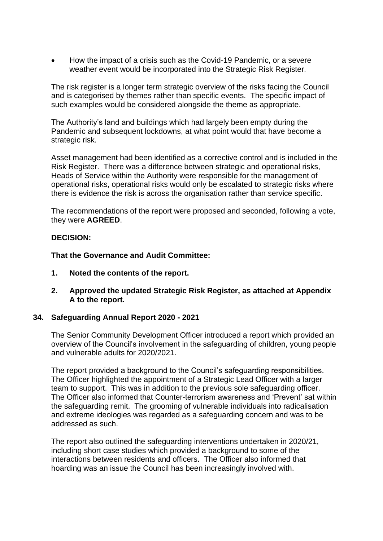• How the impact of a crisis such as the Covid-19 Pandemic, or a severe weather event would be incorporated into the Strategic Risk Register.

The risk register is a longer term strategic overview of the risks facing the Council and is categorised by themes rather than specific events. The specific impact of such examples would be considered alongside the theme as appropriate.

The Authority's land and buildings which had largely been empty during the Pandemic and subsequent lockdowns, at what point would that have become a strategic risk.

Asset management had been identified as a corrective control and is included in the Risk Register. There was a difference between strategic and operational risks, Heads of Service within the Authority were responsible for the management of operational risks, operational risks would only be escalated to strategic risks where there is evidence the risk is across the organisation rather than service specific.

The recommendations of the report were proposed and seconded, following a vote, they were **AGREED**.

#### **DECISION:**

**That the Governance and Audit Committee:**

- **1. Noted the contents of the report.**
- **2. Approved the updated Strategic Risk Register, as attached at Appendix A to the report.**

#### **34. Safeguarding Annual Report 2020 - 2021**

The Senior Community Development Officer introduced a report which provided an overview of the Council's involvement in the safeguarding of children, young people and vulnerable adults for 2020/2021.

The report provided a background to the Council's safeguarding responsibilities. The Officer highlighted the appointment of a Strategic Lead Officer with a larger team to support. This was in addition to the previous sole safeguarding officer. The Officer also informed that Counter-terrorism awareness and 'Prevent' sat within the safeguarding remit. The grooming of vulnerable individuals into radicalisation and extreme ideologies was regarded as a safeguarding concern and was to be addressed as such.

The report also outlined the safeguarding interventions undertaken in 2020/21, including short case studies which provided a background to some of the interactions between residents and officers. The Officer also informed that hoarding was an issue the Council has been increasingly involved with.